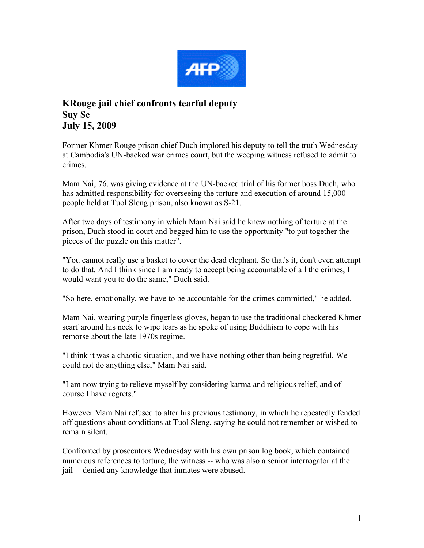

## **KRouge jail chief confronts tearful deputy Suy Se July 15, 2009**

Former Khmer Rouge prison chief Duch implored his deputy to tell the truth Wednesday at Cambodia's UN-backed war crimes court, but the weeping witness refused to admit to crimes.

Mam Nai, 76, was giving evidence at the UN-backed trial of his former boss Duch, who has admitted responsibility for overseeing the torture and execution of around 15,000 people held at Tuol Sleng prison, also known as S-21.

After two days of testimony in which Mam Nai said he knew nothing of torture at the prison, Duch stood in court and begged him to use the opportunity "to put together the pieces of the puzzle on this matter".

"You cannot really use a basket to cover the dead elephant. So that's it, don't even attempt to do that. And I think since I am ready to accept being accountable of all the crimes, I would want you to do the same," Duch said.

"So here, emotionally, we have to be accountable for the crimes committed," he added.

Mam Nai, wearing purple fingerless gloves, began to use the traditional checkered Khmer scarf around his neck to wipe tears as he spoke of using Buddhism to cope with his remorse about the late 1970s regime.

"I think it was a chaotic situation, and we have nothing other than being regretful. We could not do anything else," Mam Nai said.

"I am now trying to relieve myself by considering karma and religious relief, and of course I have regrets."

However Mam Nai refused to alter his previous testimony, in which he repeatedly fended off questions about conditions at Tuol Sleng, saying he could not remember or wished to remain silent.

Confronted by prosecutors Wednesday with his own prison log book, which contained numerous references to torture, the witness -- who was also a senior interrogator at the jail -- denied any knowledge that inmates were abused.